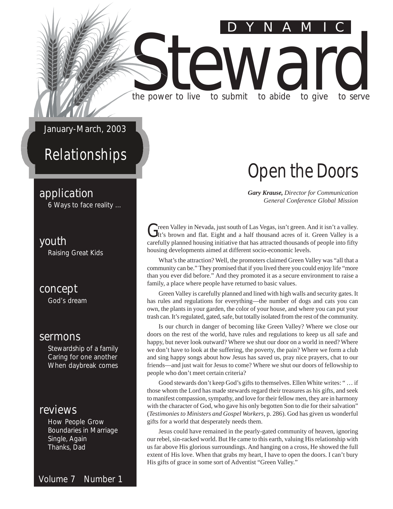January-March, 2003

### Relationships

#### application

6 Ways to face reality ...

#### youth

Raising Great Kids

#### concept

God's dream

#### sermons

Stewardship of a family Caring for one another When daybreak comes

#### reviews

How People Grow Boundaries in Marriage Single, Again Thanks, Dad

Volume 7 Number 1

### Open the Doors

*Gary Krause, Director for Communication General Conference Global Mission*

Green Valley in Nevada, just south of Las Vegas, isn't green. And it isn't a valley.<br>
It's brown and flat. Eight and a half thousand acres of it. Green Valley is a carefully planned housing initiative that has attracted thousands of people into fifty housing developments aimed at different socio-economic levels.

the power to live to submit to abide to give to serve

the power to live to submit to abide to give to serve

DYNAMIC

What's the attraction? Well, the promoters claimed Green Valley was "all that a community can be." They promised that if you lived there you could enjoy life "more than you ever did before." And they promoted it as a secure environment to raise a family, a place where people have returned to basic values.

Green Valley is carefully planned and lined with high walls and security gates. It has rules and regulations for everything—the number of dogs and cats you can own, the plants in your garden, the color of your house, and where you can put your trash can. It's regulated, gated, safe, but totally isolated from the rest of the community.

Is our church in danger of becoming like Green Valley? Where we close our doors on the rest of the world, have rules and regulations to keep us all safe and happy, but never look outward? Where we shut our door on a world in need? Where we don't have to look at the suffering, the poverty, the pain? Where we form a club and sing happy songs about how Jesus has saved us, pray nice prayers, chat to our friends—and just wait for Jesus to come? Where we shut our doors of fellowship to people who don't meet certain criteria?

Good stewards don't keep God's gifts to themselves. Ellen White writes: " … if those whom the Lord has made stewards regard their treasures as his gifts, and seek to manifest compassion, sympathy, and love for their fellow men, they are in harmony with the character of God, who gave his only begotten Son to die for their salvation" (*Testimonies to Ministers and Gospel Workers*, p. 286). God has given us wonderful gifts for a world that desperately needs them.

Jesus could have remained in the pearly-gated community of heaven, ignoring our rebel, sin-racked world. But He came to this earth, valuing His relationship with us far above His glorious surroundings. And hanging on a cross, He showed the full extent of His love. When that grabs my heart, I have to open the doors. I can't bury His gifts of grace in some sort of Adventist "Green Valley."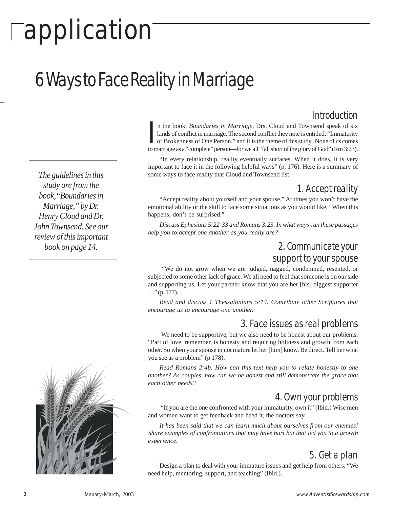# **application**

### 6 Ways to Face Reality in Marriage

#### Introduction

In the book, *Boundaries in Marriage*, Drs. Cloud and Townsend speak of six kinds of conflict in marriage. The second conflict they note is entitled: "Immaturity or Brokenness of One Person," and it is the theme of this st n the book, *Boundaries in Marriage,* Drs. Cloud and Townsend speak of six kinds of conflict in marriage. The second conflict they note is entitled: "Immaturity or Brokenness of One Person," and it is the theme of this study. None of us comes

"In every relationship, reality eventually surfaces. When it does, it is very important to face it in the following helpful ways" (p. 176). Here is a summary of some ways to face reality that Cloud and Townsend list:

#### 1. Accept reality

"Accept reality about yourself and your spouse." At times you won't have the emotional ability or the skill to face some situations as you would like. "When this happens, don't be surprised."

*Discuss Ephesians 5:22-33 and Romans 3:23. In what ways can these passages help you to accept one another as you really are?*

#### 2. Communicate your support to your spouse

 "We do not grow when we are judged, nagged, condemned, resented, or subjected to some other lack of grace. We all need to feel that someone is on our side and supporting us. Let your partner know that you are her [his] biggest supporter …" (p. 177).

*Read and discuss 1 Thessalonians 5:14. Contribute other Scriptures that encourage us to encourage one another.*

#### 3. Face issues as real problems

We need to be supportive, but we also need to be honest about our problems. "Part of love, remember, is honesty and requiring holiness and growth from each other. So when your spouse in not mature let her [him] know. Be direct. Tell her what you see as a problem" (p 178).

*Read Romans 2:4b. How can this text help you to relate honestly to one another? As couples, how can we be honest and still demonstrate the grace that each other needs?*

#### 4. Own your problems

 "If you are the one confronted with your immaturity, own it" (Ibid.) Wise men and women want to get feedback and heed it, the doctors say.

*It has been said that we can learn much about ourselves from our enemies! Share examples of confrontations that may have hurt but that led you to a growth experience.*

#### 5. Get a plan

Design a plan to deal with your immature issues and get help from others. "We need help, mentoring, support, and teaching" (Ibid.).

*The guidelines in this study are from the book,"Boundaries in Marriage," by Dr. Henry Cloud and Dr. John Townsend. See our review of this important book on page 14.*

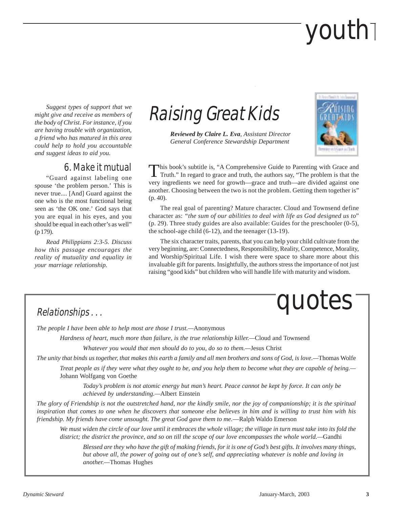# youth

*Suggest types of support that we might give and receive as members of the body of Christ. For instance, if you are having trouble with organization, a friend who has matured in this area could help to hold you accountable and suggest ideas to aid you.*

#### 6. Make it mutual

"Guard against labeling one spouse 'the problem person.' This is never true.... [And] Guard against the one who is the most functional being seen as 'the OK one.' God says that you are equal in his eyes, and you should be equal in each other's as well" (p 179).

*Read Philippians 2:3-5. Discuss how this passage encourages the reality of mutuality and equality in your marriage relationship.*

### Raising Great Kids

*Reviewed by Claire L. Eva, Assistant Director General Conference Stewardship Department*



This book's subtitle is, "A Comprehensive Guide to Parenting with Grace and Truth." In regard to grace and truth, the authors say, "The problem is that the very ingredients we need for growth—grace and truth—are divided against one another. Choosing between the two is not the problem. Getting them together is" (p. 40).

The real goal of parenting? Mature character. Cloud and Townsend define character as: *"the sum of our abilities to deal with life as God designed us to*" (p. 29). Three study guides are also available: Guides for the preschooler (0-5), the school-age child (6-12), and the teenager (13-19).

The six character traits, parents, that you can help your child cultivate from the very beginning, are: Connectedness, Responsibility, Reality, Competence, Morality, and Worship/Spiritual Life. I wish there were space to share more about this invaluable gift for parents. Insightfully, the authors stress the importance of not just raising "good kids" but children who will handle life with maturity and wisdom.



#### Relationships . . .

*The people I have been able to help most are those I trust.—*Anonymous

*Hardness of heart, much more than failure, is the true relationship killer.—*Cloud and Townsend

*Whatever you would that men should do to you, do so to them.—*Jesus Christ

*The unity that binds us together, that makes this earth a family and all men brothers and sons of God, is love.—*Thomas Wolfe

*Treat people as if they were what they ought to be, and you help them to become what they are capable of being.—* Johann Wolfgang von Goethe

*Today's problem is not atomic energy but man's heart. Peace cannot be kept by force. It can only be achieved by understanding.—*Albert Einstein

*The glory of Friendship is not the outstretched hand, nor the kindly smile, nor the joy of companionship; it is the spiritual inspiration that comes to one when he discovers that someone else believes in him and is willing to trust him with his friendship. My friends have come unsought. The great God gave them to me.*—Ralph Waldo Emerson

*We must widen the circle of our love until it embraces the whole village; the village in turn must take into its fold the district; the district the province, and so on till the scope of our love encompasses the whole world.—*Gandhi

*Blessed are they who have the gift of making friends, for it is one of God's best gifts. It involves many things, but above all, the power of going out of one's self, and appreciating whatever is noble and loving in another.—*Thomas Hughes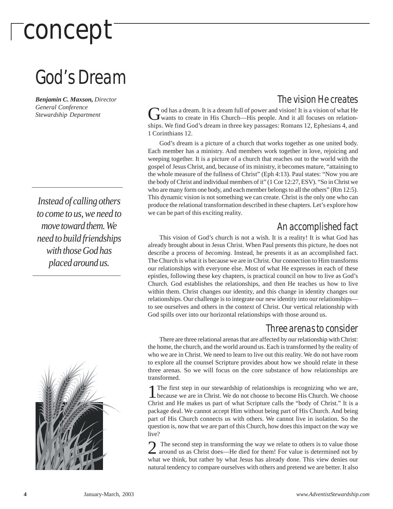# concept

### God's Dream

*Benjamin C. Maxson, Director General Conference Stewardship Department*

*Instead of calling others to come to us, we need to move toward them. We need to build friendships with those God has placed around us.*



#### The vision He creates

God has a dream. It is a dream full of power and vision! It is a vision of what He wants to create in His Church—His people. And it all focuses on relationships. We find God's dream in three key passages: Romans 12, Ephesians 4, and 1 Corinthians 12.

God's dream is a picture of a church that works together as one united body. Each member has a ministry. And members work together in love, rejoicing and weeping together. It is a picture of a church that reaches out to the world with the gospel of Jesus Christ, and, because of its ministry, it becomes mature, "attaining to the whole measure of the fullness of Christ" (Eph 4:13). Paul states: "Now you are the body of Christ and individual members of it" (1 Cor 12:27, ESV). "So in Christ we who are many form one body, and each member belongs to all the others" (Rm 12:5). This dynamic vision is not something we can create. Christ is the only one who can produce the relational transformation described in these chapters. Let's explore how we can be part of this exciting reality.

#### An accomplished fact

This vision of God's church is not a wish. It is a reality! It is what God has already brought about in Jesus Christ. When Paul presents this picture, he does not describe a process of *becoming*. Instead, he presents it as an accomplished fact. The Church is what it is because we are in Christ. Our connection to Him transforms our relationships with everyone else. Most of what He expresses in each of these epistles, following these key chapters, is practical council on how to live as God's Church. God establishes the relationships, and then He teaches us how to live within them. Christ changes our identity, and this change in identity changes our relationships. Our challenge is to integrate our new identity into our relationships to see ourselves and others in the context of Christ. Our vertical relationship with God spills over into our horizontal relationships with those around us.

#### Three arenas to consider

There are three relational arenas that are affected by our relationship with Christ: the home, the church, and the world around us. Each is transformed by the reality of who we are in Christ. We need to learn to live out this reality. We do not have room to explore all the counsel Scripture provides about how we should relate in these three arenas. So we will focus on the core substance of how relationships are transformed.

1The first step in our stewardship of relationships is recognizing who we are, because we are in Christ. We do not choose to become His Church. We choose Christ and He makes us part of what Scripture calls the "body of Christ." It is a package deal. We cannot accept Him without being part of His Church. And being part of His Church connects us with others. We cannot live in isolation. So the question is, now that we are part of this Church, how does this impact on the way we live?

 $2$  The second step in transforming the way we relate to others is to value those around us as Christ does—He died for them! For value is determined not by what we think, but rather by what Jesus has already done. This view denies our natural tendency to compare ourselves with others and pretend we are better. It also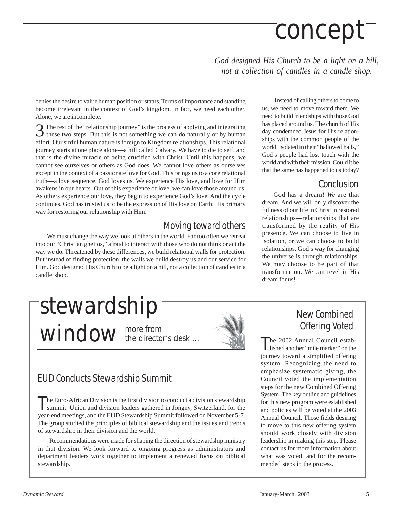# concept

*God designed His Church to be a light on a hill, not a collection of candles in a candle shop.*

denies the desire to value human position or status. Terms of importance and standing become irrelevant in the context of God's kingdom. In fact, we need each other. Alone, we are incomplete.

3 The rest of the "relationship journey" is the process of applying and integrating these two steps. But this is not something we can do naturally or by human effort. Our sinful human nature is foreign to Kingdom relationships. This relational journey starts at one place alone—a hill called Calvary. We have to die to self, and that is the divine miracle of being crucified with Christ. Until this happens, we cannot see ourselves or others as God does. We cannot love others as ourselves except in the context of a passionate love for God. This brings us to a core relational truth—a love sequence. God loves us. We experience His love, and love for Him awakens in our hearts. Out of this experience of love, we can love those around us. As others experience our love, they begin to experience God's love. And the cycle continues. God has trusted us to be the expression of His love on Earth; His primary way for restoring our relationship with Him.

#### Moving toward others

We must change the way we look at others in the world. Far too often we retreat into our "Christian ghettos," afraid to interact with those who do not think or act the way we do. Threatened by these differences, we build relational walls for protection. But instead of finding protection, the walls we build destroy us and our service for Him. God designed His Church to be a light on a hill, not a collection of candles in a candle shop.

 Instead of calling others to come to us, we need to move toward them. We need to build friendships with those God has placed around us. The church of His day condemned Jesus for His relationships with the common people of the world. Isolated in their "hallowed halls," God's people had lost touch with the world and with their mission. Could it be that the same has happened to us today?

#### **Conclusion**

God has a dream! *We* are that dream. And we will only discover the fullness of our life in Christ in restored relationships—relationships that are transformed by the reality of His presence. We can choose to live in isolation, or we can choose to build relationships. God's way for changing the universe is through relationships. We may choose to be part of that transformation. We can revel in His dream for us!

# stewardship  $\textbf{window} \ \text{\tiny{more from}}\ \text{the direct}$



#### EUD Conducts Stewardship Summit

The Euro-African Division is the first division to conduct a division stewardship<br>summit. Union and division leaders gathered in Jongny, Switzerland, for the year-end meetings, and the EUD Stewardship Summit followed on November 5-7. The group studied the principles of biblical stewardship and the issues and trends of stewardship in their division and the world.

Recommendations were made for shaping the direction of stewardship ministry in that division. We look forward to ongoing progress as administrators and department leaders work together to implement a renewed focus on biblical stewardship.

#### New Combined Offering Voted

the director's desk ...<br>
The 2002 Annual Council estab-<br>
lished another "mile marker" on the journey toward a simplified offering system. Recognizing the need to emphasize systematic giving, the Council voted the implementation steps for the new Combined Offering System. The key outline and guidelines for this new program were established and policies will be voted at the 2003 Annual Council. Those fields desiring to move to this new offering system should work closely with division leadership in making this step. Please contact us for more information about what was voted, and for the recommended steps in the process.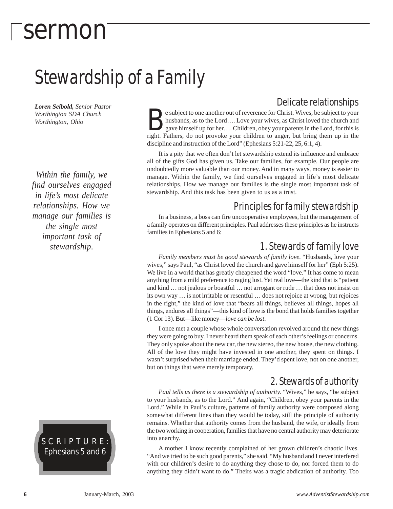### Stewardship of a Family

*Loren Seibold, Senior Pastor Worthington SDA Church Worthington, Ohio*

*Within the family, we find ourselves engaged in life's most delicate relationships. How we manage our families is the single most important task of stewardship.*



#### Delicate relationships

e subject to one another out of reverence for Christ. Wives, be subject to your husbands, as to the Lord…. Love your wives, as Christ loved the church and gave himself up for her…. Children, obey your parents in the Lord, for this is right. Fathers, do not provoke your children to anger, but bring them up in the discipline and instruction of the Lord" (Ephesians 5:21-22, 25, 6:1, 4).

It is a pity that we often don't let stewardship extend its influence and embrace all of the gifts God has given us. Take our families, for example. Our people are undoubtedly more valuable than our money. And in many ways, money is easier to manage. Within the family, we find ourselves engaged in life's most delicate relationships. How we manage our families is the single most important task of stewardship. And this task has been given to us as a trust.

#### Principles for family stewardship

In a business, a boss can fire uncooperative employees, but the management of a family operates on different principles. Paul addresses these principles as he instructs families in Ephesians 5 and 6:

#### 1. Stewards of family love

*Family members must be good stewards of family love.* "Husbands, love your wives," says Paul, "as Christ loved the church and gave himself for her" (Eph 5:25). We live in a world that has greatly cheapened the word "love." It has come to mean anything from a mild preference to raging lust. Yet real love—the kind that is "patient and kind … not jealous or boastful … not arrogant or rude … that does not insist on its own way … is not irritable or resentful … does not rejoice at wrong, but rejoices in the right," the kind of love that "bears all things, believes all things, hopes all things, endures all things"—this kind of love is the bond that holds families together (1 Cor 13). But—like money—*love can be lost*.

I once met a couple whose whole conversation revolved around the new things they were going to buy. I never heard them speak of each other's feelings or concerns. They only spoke about the new car, the new stereo, the new house, the new clothing. All of the love they might have invested in one another, they spent on things. I wasn't surprised when their marriage ended. They'd spent love, not on one another, but on things that were merely temporary.

#### 2. Stewards of authority

*Paul tells us there is a stewardship of authority.* "Wives," he says, "be subject to your husbands, as to the Lord." And again, "Children, obey your parents in the Lord." While in Paul's culture, patterns of family authority were composed along somewhat different lines than they would be today, still the principle of authority remains. Whether that authority comes from the husband, the wife, or ideally from the two working in cooperation, families that have no central authority may deteriorate into anarchy.

A mother I know recently complained of her grown children's chaotic lives. "And we tried to be such good parents," she said. "My husband and I never interfered with our children's desire to do anything they chose to do, nor forced them to do anything they didn't want to do." Theirs was a tragic abdication of authority. Too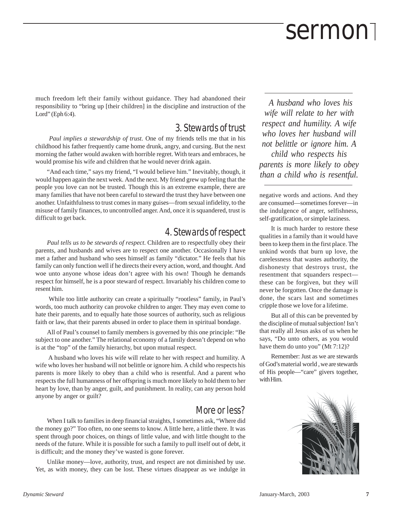much freedom left their family without guidance. They had abandoned their responsibility to "bring up [their children] in the discipline and instruction of the Lord" (Eph 6:4).

#### 3. Stewards of trust

*Paul implies a stewardship of trust.* One of my friends tells me that in his childhood his father frequently came home drunk, angry, and cursing. But the next morning the father would awaken with horrible regret. With tears and embraces, he would promise his wife and children that he would never drink again.

"And each time," says my friend, "I would believe him." Inevitably, though, it would happen again the next week. And the next. My friend grew up feeling that the people you love can not be trusted. Though this is an extreme example, there are many families that have not been careful to steward the trust they have between one another. Unfaithfulness to trust comes in many guises—from sexual infidelity, to the misuse of family finances, to uncontrolled anger. And, once it is squandered, trust is difficult to get back.

#### 4. Stewards of respect

*Paul tells us to be stewards of respect*. Children are to respectfully obey their parents, and husbands and wives are to respect one another. Occasionally I have met a father and husband who sees himself as family "dictator." He feels that his family can only function well if he directs their every action, word, and thought. And woe unto anyone whose ideas don't agree with his own! Though he demands respect for himself, he is a poor steward of respect. Invariably his children come to resent him.

While too little authority can create a spiritually "rootless" family, in Paul's words, too much authority can provoke children to anger. They may even come to hate their parents, and to equally hate those sources of authority, such as religious faith or law, that their parents abused in order to place them in spiritual bondage.

All of Paul's counsel to family members is governed by this one principle: "Be subject to one another." The relational economy of a family doesn't depend on who is at the "top" of the family hierarchy, but upon mutual respect.

 A husband who loves his wife will relate to her with respect and humility. A wife who loves her husband will not belittle or ignore him. A child who respects his parents is more likely to obey than a child who is resentful. And a parent who respects the full humanness of her offspring is much more likely to hold them to her heart by love, than by anger, guilt, and punishment. In reality, can any person hold anyone by anger or guilt?

#### More or less?

When I talk to families in deep financial straights, I sometimes ask, "Where did the money go?" Too often, no one seems to know. A little here, a little there. It was spent through poor choices, on things of little value, and with little thought to the needs of the future. While it is possible for such a family to pull itself out of debt, it is difficult; and the money they've wasted is gone forever.

Unlike money—love, authority, trust, and respect are not diminished by use. Yet, as with money, they can be lost. These virtues disappear as we indulge in

 *A husband who loves his wife will relate to her with respect and humility. A wife who loves her husband will not belittle or ignore him. A child who respects his parents is more likely to obey than a child who is resentful.*

negative words and actions. And they are consumed—sometimes forever—in the indulgence of anger, selfishness, self-gratification, or simple laziness.

It is much harder to restore these qualities in a family than it would have been to keep them in the first place. The unkind words that burn up love, the carelessness that wastes authority, the dishonesty that destroys trust, the resentment that squanders respect these can be forgiven, but they will never be forgotten. Once the damage is done, the scars last and sometimes cripple those we love for a lifetime.

But all of this can be prevented by the discipline of mutual subjection! Isn't that really all Jesus asks of us when he says, "Do unto others, as you would have them do unto you" (Mt 7:12)?

Remember: Just as we are stewards of God's material world , we are stewards of His people—"care" givers together, with Him.

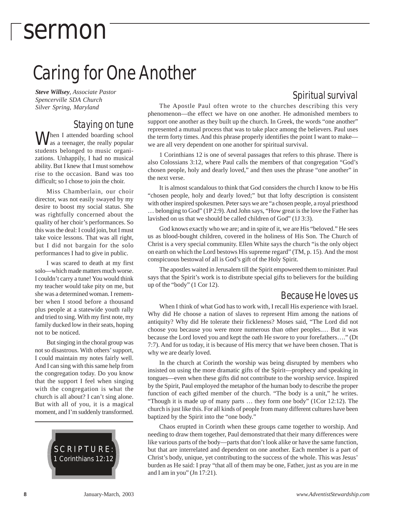### Caring for One Another

*Steve Willsey, Associate Pastor Spencerville SDA Church Silver Spring, Maryland*

#### Staying on tune

When I attended boarding school<br>as a teenager, the really popular students belonged to music organizations. Unhappily, I had no musical ability. But I knew that I must somehow rise to the occasion. Band was too difficult; so I chose to join the choir.

Miss Chamberlain, our choir director, was not easily swayed by my desire to boost my social status. She was rightfully concerned about the quality of her choir's performances. So this was the deal: I could join, but I must take voice lessons. That was all right, but I did not bargain for the solo performances I had to give in public.

I was scared to death at my first solo—which made matters much worse. I couldn't carry a tune! You would think my teacher would take pity on me, but she was a determined woman. I remember when I stood before a thousand plus people at a statewide youth rally and tried to sing. With my first note, my family ducked low in their seats, hoping not to be noticed.

But singing in the choral group was not so disastrous. With others' support, I could maintain my notes fairly well. And I can sing with this same help from the congregation today. Do you know that the support I feel when singing with the congregation is what the church is all about? I can't sing alone. But with all of you, it is a magical moment, and I'm suddenly transformed.



The Apostle Paul often wrote to the churches describing this very phenomenon—the effect we have on one another. He admonished members to support one another as they built up the church. In Greek, the words "one another" represented a mutual process that was to take place among the believers. Paul uses the term forty times. And this phrase properly identifies the point I want to make we are all very dependent on one another for spiritual survival.

1 Corinthians 12 is one of several passages that refers to this phrase. There is also Colossians 3:12, where Paul calls the members of that congregation "God's chosen people, holy and dearly loved," and then uses the phrase "one another" in the next verse.

It is almost scandalous to think that God considers the church I know to be His "chosen people, holy and dearly loved;" but that lofty description is consistent with other inspired spokesmen. Peter says we are "a chosen people, a royal priesthood … belonging to God" (1P 2:9). And John says, "How great is the love the Father has lavished on us that we should be called children of God" (1J 3:3).

God knows exactly who we are; and in spite of it, we are His "beloved." He sees us as blood-bought children, covered in the holiness of His Son. The Church of Christ is a very special community. Ellen White says the church "is the only object on earth on which the Lord bestows His supreme regard" (TM, p. 15). And the most conspicuous bestowal of all is God's gift of the Holy Spirit.

The apostles waited in Jerusalem till the Spirit empowered them to minister. Paul says that the Spirit's work is to distribute special gifts to believers for the building up of the "body" (1 Cor 12).

#### Because He loves us

When I think of what God has to work with, I recall His experience with Israel. Why did He choose a nation of slaves to represent Him among the nations of antiquity? Why did He tolerate their fickleness? Moses said, "The Lord did not choose you because you were more numerous than other peoples.… But it was because the Lord loved you and kept the oath He swore to your forefathers…." (Dt 7:7). And for us today, it is because of His mercy that we have been chosen. That is why we are dearly loved.

In the church at Corinth the worship was being disrupted by members who insisted on using the more dramatic gifts of the Spirit—prophecy and speaking in tongues—even when these gifts did not contribute to the worship service. Inspired by the Spirit, Paul employed the metaphor of the human body to describe the proper function of each gifted member of the church. "The body is a unit," he writes. "Though it is made up of many parts … they form one body" (1Cor 12:12). The church is just like this. For all kinds of people from many different cultures have been baptized by the Spirit into the "one body."

Chaos erupted in Corinth when these groups came together to worship. And needing to draw them together, Paul demonstrated that their many differences were like various parts of the body—parts that don't look alike or have the same function, but that are interrelated and dependent on one another. Each member is a part of Christ's body, unique, yet contributing to the success of the whole. This was Jesus' burden as He said: I pray "that all of them may be one, Father, just as you are in me and I am in you" (Jn 17:21).

#### Spiritual survival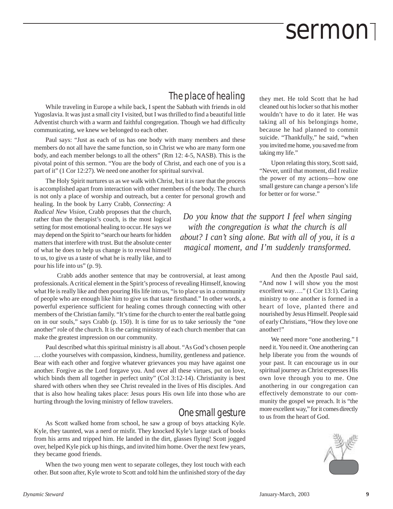#### The place of healing

While traveling in Europe a while back, I spent the Sabbath with friends in old Yugoslavia. It was just a small city I visited, but I was thrilled to find a beautiful little Adventist church with a warm and faithful congregation. Though we had difficulty communicating, we knew we belonged to each other.

Paul says: "Just as each of us has one body with many members and these members do not all have the same function, so in Christ we who are many form one body, and each member belongs to all the others" (Rm 12: 4-5, NASB). This is the pivotal point of this sermon. "You are the body of Christ, and each one of you is a part of it" (1 Cor 12:27). We need one another for spiritual survival.

The Holy Spirit nurtures us as we walk with Christ, but it is rare that the process is accomplished apart from interaction with other members of the body. The church is not only a place of worship and outreach, but a center for personal growth and

healing. In the book by Larry Crabb, *Connecting: A Radical New Vision*, Crabb proposes that the church, rather than the therapist's couch, is the most logical setting for most emotional healing to occur. He says we may depend on the Spirit to "search our hearts for hidden matters that interfere with trust. But the absolute center of what he does to help us change is to reveal himself to us, to give us a taste of what he is really like, and to pour his life into us" (p. 9).

Crabb adds another sentence that may be controversial, at least among professionals. A critical element in the Spirit's process of revealing Himself, knowing what He is really like and then pouring His life into us, "is to place us in a community of people who are enough like him to give us that taste firsthand." In other words, a powerful experience sufficient for healing comes through connecting with other members of the Christian family. "It's time for the church to enter the real battle going on in our souls," says Crabb (p. 150). It is time for us to take seriously the "one another" role of the church. It is the caring ministry of each church member that can make the greatest impression on our community.

Paul described what this spiritual ministry is all about. "As God's chosen people … clothe yourselves with compassion, kindness, humility, gentleness and patience. Bear with each other and forgive whatever grievances you may have against one another. Forgive as the Lord forgave you. And over all these virtues, put on love, which binds them all together in perfect unity" (Col 3:12-14). Christianity is best shared with others when they see Christ revealed in the lives of His disciples. And that is also how healing takes place: Jesus pours His own life into those who are hurting through the loving ministry of fellow travelers.

#### One small gesture

As Scott walked home from school, he saw a group of boys attacking Kyle. Kyle, they taunted, was a nerd or misfit. They knocked Kyle's large stack of books from his arms and tripped him. He landed in the dirt, glasses flying! Scott jogged over, helped Kyle pick up his things, and invited him home. Over the next few years, they became good friends.

When the two young men went to separate colleges, they lost touch with each other. But soon after, Kyle wrote to Scott and told him the unfinished story of the day they met. He told Scott that he had cleaned out his locker so that his mother wouldn't have to do it later. He was taking all of his belongings home, because he had planned to commit suicide. "Thankfully," he said, "when you invited me home, you saved me from taking my life."

Upon relating this story, Scott said, "Never, until that moment, did I realize the power of my actions—how one small gesture can change a person's life for better or for worse."

*Do you know that the support I feel when singing with the congregation is what the church is all about? I can't sing alone. But with all of you, it is a magical moment, and I'm suddenly transformed.*

> And then the Apostle Paul said, "And now I will show you the most excellent way…." (1 Cor 13:1). Caring ministry to one another is formed in a heart of love, planted there and nourished by Jesus Himself. People said of early Christians, "How they love one another!"

> We need more "one anothering." I need it. You need it. One anothering can help liberate you from the wounds of your past. It can encourage us in our spiritual journey as Christ expresses His own love through you to me. One anothering in our congregation can effectively demonstrate to our community the gospel we preach. It is "the more excellent way," for it comes directly to us from the heart of God.

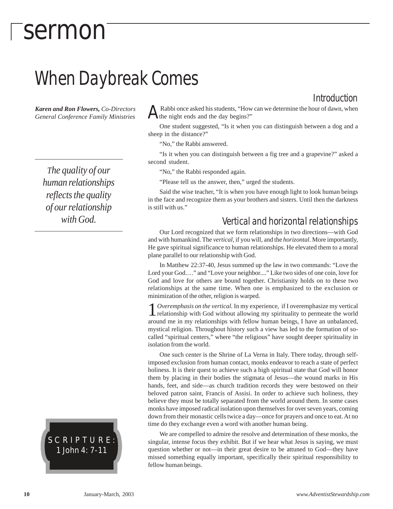### When Daybreak Comes

*Karen and Ron Flowers, Co-Directors General Conference Family Ministries*

*The quality of our human relationships reflects the quality of our relationship with God.*



A Rabbi once asked his students, "How can we determine the hour of dawn, when  $\Lambda$ the night ends and the day begins?"

One student suggested, "Is it when you can distinguish between a dog and a sheep in the distance?"

"No," the Rabbi answered.

"Is it when you can distinguish between a fig tree and a grapevine?" asked a second student.

"No," the Rabbi responded again.

"Please tell us the answer, then," urged the students.

Said the wise teacher, "It is when you have enough light to look human beings in the face and recognize them as your brothers and sisters. Until then the darkness is still with us."

#### Vertical and horizontal relationships

Our Lord recognized that we form relationships in two directions—with God and with humankind. The *vertical,* if you will, and the *horizontal*. More importantly, He gave spiritual significance to human relationships. He elevated them to a moral plane parallel to our relationship with God.

In Matthew 22:37-40, Jesus summed up the law in two commands: "Love the Lord your God.…" and "Love your neighbor...." Like two sides of one coin, love for God and love for others are bound together. Christianity holds on to these two relationships at the same time. When one is emphasized to the exclusion or minimization of the other, religion is warped.

1*Overemphasis on the vertical.* In my experience, if I overemphasize my vertical relationship with God without allowing my spirituality to permeate the world around me in my relationships with fellow human beings, I have an unbalanced, mystical religion. Throughout history such a view has led to the formation of socalled "spiritual centers," where "the religious" have sought deeper spirituality in isolation from the world.

One such center is the Shrine of La Verna in Italy. There today, through selfimposed exclusion from human contact, monks endeavor to reach a state of perfect holiness. It is their quest to achieve such a high spiritual state that God will honor them by placing in their bodies the stigmata of Jesus—the wound marks in His hands, feet, and side—as church tradition records they were bestowed on their beloved patron saint, Francis of Assisi. In order to achieve such holiness, they believe they must be totally separated from the world around them. In some cases monks have imposed radical isolation upon themselves for over seven years, coming down from their monastic cells twice a day—once for prayers and once to eat. At no time do they exchange even a word with another human being.

We are compelled to admire the resolve and determination of these monks, the singular, intense focus they exhibit. But if we hear what Jesus is saying, we must question whether or not—in their great desire to be attuned to God—they have missed something equally important, specifically their spiritual responsibility to fellow human beings.

#### **Introduction**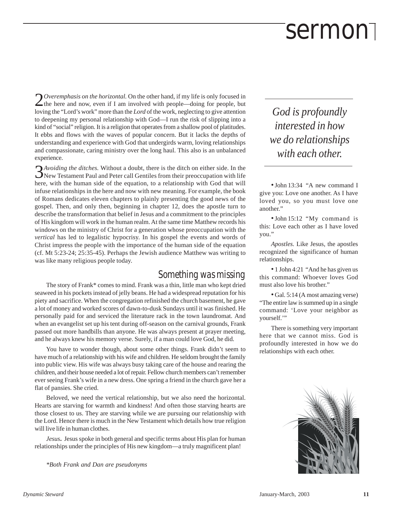2*Overemphasis on the horizontal*. On the other hand, if my life is only focused in the here and now, even if I am involved with people—doing for people, but loving the "Lord's work" more than the *Lord* of the work, neglecting to give attention to deepening my personal relationship with God—I run the risk of slipping into a kind of "social" religion. It is a religion that operates from a shallow pool of platitudes. It ebbs and flows with the waves of popular concern. But it lacks the depths of understanding and experience with God that undergirds warm, loving relationships and compassionate, caring ministry over the long haul. This also is an unbalanced experience.

3*Avoiding the ditches.* Without a doubt, there is the ditch on either side. In the New Testament Paul and Peter call Gentiles from their preoccupation with life here, with the human side of the equation, to a relationship with God that will infuse relationships in the here and now with new meaning. For example, the book of Romans dedicates eleven chapters to plainly presenting the good news of the gospel. Then, and only then, beginning in chapter 12, does the apostle turn to describe the transformation that belief in Jesus and a commitment to the principles of His kingdom will work in the human realm. At the same time Matthew records his windows on the ministry of Christ for a generation whose preoccupation with the *vertical* has led to legalistic hypocrisy. In his gospel the events and words of Christ impress the people with the importance of the human side of the equation (cf. Mt 5:23-24; 25:35-45). Perhaps the Jewish audience Matthew was writing to was like many religious people today.

#### Something was missing

The story of Frank\* comes to mind. Frank was a thin, little man who kept dried seaweed in his pockets instead of jelly beans. He had a widespread reputation for his piety and sacrifice. When the congregation refinished the church basement, he gave a lot of money and worked scores of dawn-to-dusk Sundays until it was finished. He personally paid for and serviced the literature rack in the town laundromat. And when an evangelist set up his tent during off-season on the carnival grounds, Frank passed out more handbills than anyone. He was always present at prayer meeting, and he always knew his memory verse. Surely, if a man could love God, he did.

You have to wonder though, about some other things. Frank didn't seem to have much of a relationship with his wife and children. He seldom brought the family into public view. His wife was always busy taking care of the house and rearing the children, and their house needed a lot of repair. Fellow church members can't remember ever seeing Frank's wife in a new dress. One spring a friend in the church gave her a flat of pansies. She cried.

Beloved, we need the vertical relationship, but we also need the horizontal. Hearts are starving for warmth and kindness! And often those starving hearts are those closest to us. They are starving while we are pursuing our relationship with the Lord. Hence there is much in the New Testament which details how true religion will live life in human clothes.

*Jesus***.** Jesus spoke in both general and specific terms about His plan for human relationships under the principles of His new kingdom—a truly magnificent plan!

*\*Both Frank and Dan are pseudonyms*

*God is profoundly interested in how we do relationships with each other.*

• John 13:34 "A new command I give you: Love one another. As I have loved you, so you must love one another."

• John 15:12 "My command is this: Love each other as I have loved you."

*Apostles.* Like Jesus, the apostles recognized the significance of human relationships.

• 1 John 4:21 "And he has given us this command: Whoever loves God must also love his brother."

• Gal. 5:14 (A most amazing verse) "The entire law is summed up in a single command: 'Love your neighbor as yourself.'"

There is something very important here that we cannot miss. God is profoundly interested in how we do relationships with each other.

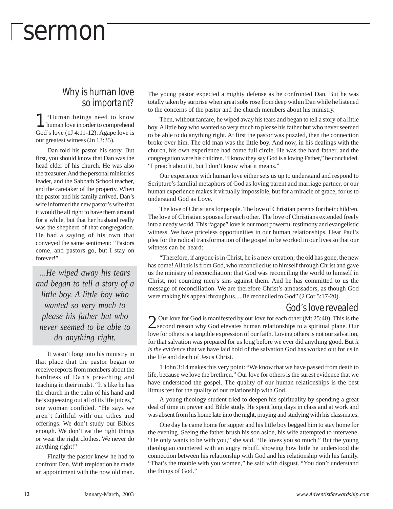#### Why is human love so important?

1"Human beings need to know human love in order to comprehend God's love (1J 4:11-12). Agape love is our greatest witness (Jn 13:35).

Dan told his pastor his story. But first, you should know that Dan was the head elder of his church. He was also the treasurer. And the personal ministries leader, and the Sabbath School teacher, and the caretaker of the property. When the pastor and his family arrived, Dan's wife informed the new pastor's wife that it would be all right to have them around for a while, but that her husband really was the shepherd of that congregation. He had a saying of his own that conveyed the same sentiment: "Pastors come, and pastors go, but I stay on forever!"

*...He wiped away his tears and began to tell a story of a little boy. A little boy who wanted so very much to please his father but who never seemed to be able to do anything right.*

It wasn't long into his ministry in that place that the pastor began to receive reports from members about the hardness of Dan's preaching and teaching in their midst. "It's like he has the church in the palm of his hand and he's squeezing out all of its life juices," one woman confided. "He says we aren't faithful with our tithes and offerings. We don't study our Bibles enough. We don't eat the right things or wear the right clothes. We never do anything right!"

Finally the pastor knew he had to confront Dan. With trepidation he made an appointment with the now old man. The young pastor expected a mighty defense as he confronted Dan. But he was totally taken by surprise when great sobs rose from deep within Dan while he listened to the concerns of the pastor and the church members about his ministry.

Then, without fanfare, he wiped away his tears and began to tell a story of a little boy. A little boy who wanted so very much to please his father but who never seemed to be able to do anything right. At first the pastor was puzzled, then the connection broke over him. The old man was the little boy. And now, in his dealings with the church, his own experience had come full circle. He was the hard father, and the congregation were his children. "I know they say God is a loving Father," he concluded. "I preach about it, but I don't know what it means."

Our experience with human love either sets us up to understand and respond to Scripture's familial metaphors of God as loving parent and marriage partner, or our human experience makes it virtually impossible, but for a miracle of grace, for us to understand God as Love.

The love of Christians for people. The love of Christian parents for their children. The love of Christian spouses for each other. The love of Christians extended freely into a needy world. This "agape" love is our most powerful testimony and evangelistic witness. We have priceless opportunities in our human relationships. Hear Paul's plea for the radical transformation of the gospel to be worked in our lives so that our witness can be heard:

"Therefore, if anyone is in Christ, he is a new creation; the old has gone, the new has come! All this is from God, who reconciled us to himself through Christ and gave us the ministry of reconciliation: that God was reconciling the world to himself in Christ, not counting men's sins against them. And he has committed to us the message of reconciliation. We are therefore Christ's ambassadors, as though God were making his appeal through us.... Be reconciled to God" (2 Cor 5:17-20).

#### God's love revealed

2 Our love for God is manifested by our love for each other (Mt 25:40). This is the second reason why God elevates human relationships to a spiritual plane. Our love for others is a tangible expression of our faith. Loving others is not our salvation, for that salvation was prepared for us long before we ever did anything good. But *it is the evidence* that we have laid hold of the salvation God has worked out for us in the life and death of Jesus Christ.

1 John 3:14 makes this very point: "We know that we have passed from death to life, because we love the brethren." Our love for others is the surest evidence that we have understood the gospel. The quality of our human relationships is the best litmus test for the quality of our relationship with God.

A young theology student tried to deepen his spirituality by spending a great deal of time in prayer and Bible study. He spent long days in class and at work and was absent from his home late into the night, praying and studying with his classmates.

One day he came home for supper and his little boy begged him to stay home for the evening. Seeing the father brush his son aside, his wife attempted to intervene. "He only wants to be with you," she said. "He loves you so much." But the young theologian countered with an angry rebuff, showing how little he understood the connection between his relationship with God and his relationship with his family. "That's the trouble with you women," he said with disgust. "You don't understand the things of God."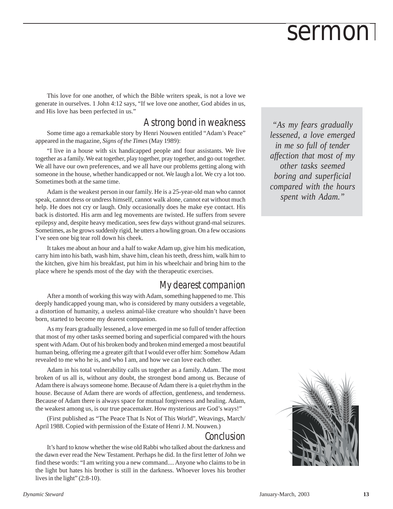This love for one another, of which the Bible writers speak, is not a love we generate in ourselves. 1 John 4:12 says, "If we love one another, God abides in us, and His love has been perfected in us."

#### A strong bond in weakness

Some time ago a remarkable story by Henri Nouwen entitled "Adam's Peace" appeared in the magazine, *Signs of the Times* (May 1989):

"I live in a house with six handicapped people and four assistants. We live together as a family. We eat together, play together, pray together, and go out together. We all have our own preferences, and we all have our problems getting along with someone in the house, whether handicapped or not. We laugh a lot. We cry a lot too. Sometimes both at the same time.

Adam is the weakest person in our family. He is a 25-year-old man who cannot speak, cannot dress or undress himself, cannot walk alone, cannot eat without much help. He does not cry or laugh. Only occasionally does he make eye contact. His back is distorted. His arm and leg movements are twisted. He suffers from severe epilepsy and, despite heavy medication, sees few days without grand-mal seizures. Sometimes, as he grows suddenly rigid, he utters a howling groan. On a few occasions I've seen one big tear roll down his cheek.

It takes me about an hour and a half to wake Adam up, give him his medication, carry him into his bath, wash him, shave him, clean his teeth, dress him, walk him to the kitchen, give him his breakfast, put him in his wheelchair and bring him to the place where he spends most of the day with the therapeutic exercises.

#### My dearest companion

After a month of working this way with Adam, something happened to me. This deeply handicapped young man, who is considered by many outsiders a vegetable, a distortion of humanity, a useless animal-like creature who shouldn't have been born, started to become my dearest companion.

As my fears gradually lessened, a love emerged in me so full of tender affection that most of my other tasks seemed boring and superficial compared with the hours spent with Adam. Out of his broken body and broken mind emerged a most beautiful human being, offering me a greater gift that I would ever offer him: Somehow Adam revealed to me who he is, and who I am, and how we can love each other.

Adam in his total vulnerability calls us together as a family. Adam. The most broken of us all is, without any doubt, the strongest bond among us. Because of Adam there is always someone home. Because of Adam there is a quiet rhythm in the house. Because of Adam there are words of affection, gentleness, and tenderness. Because of Adam there is always space for mutual forgiveness and healing. Adam, the weakest among us, is our true peacemaker. How mysterious are God's ways!"

(First published as "The Peace That Is Not of This World", Weavings, March/ April 1988. Copied with permission of the Estate of Henri J. M. Nouwen.)

#### Conclusion

It's hard to know whether the wise old Rabbi who talked about the darkness and the dawn ever read the New Testament. Perhaps he did. In the first letter of John we find these words: "I am writing you a new command.... Anyone who claims to be in the light but hates his brother is still in the darkness. Whoever loves his brother lives in the light" (2:8-10).

*"As my fears gradually lessened, a love emerged in me so full of tender affection that most of my other tasks seemed boring and superficial compared with the hours spent with Adam."*

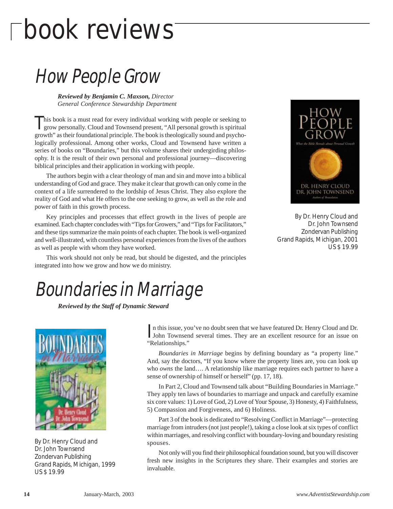# book reviews

### How People Grow

*Reviewed by Benjamin C. Maxson, Director General Conference Stewardship Department*

This book is a must read for every individual working with people or seeking to grow personally. Cloud and Townsend present, "All personal growth is spiritual growth" as their foundational principle. The book is theologically sound and psychologically professional. Among other works, Cloud and Townsend have written a series of books on "Boundaries," but this volume shares their undergirding philosophy. It is the result of their own personal and professional journey—discovering biblical principles and their application in working with people.

The authors begin with a clear theology of man and sin and move into a biblical understanding of God and grace. They make it clear that growth can only come in the context of a life surrendered to the lordship of Jesus Christ. They also explore the reality of God and what He offers to the one seeking to grow, as well as the role and power of faith in this growth process.

Key principles and processes that effect growth in the lives of people are examined. Each chapter concludes with "Tips for Growers," and "Tips for Facilitators," and these tips summarize the main points of each chapter. The book is well-organized and well-illustrated, with countless personal experiences from the lives of the authors as well as people with whom they have worked.

DR. HENRY CLOUD DR. JOHN TOWNSEND

By Dr. Henry Cloud and Dr. John Townsend Zondervan Publishing Grand Rapids, Michigan, 2001 US \$ 19.99

This work should not only be read, but should be digested, and the principles integrated into how we grow and how we do ministry.

Boundaries in Marriage

*Reviewed by the Staff of Dynamic Steward*



By Dr. Henry Cloud and Dr. John Townsend Zondervan Publishing Grand Rapids, Michigan, 1999 US \$ 19.99

In this issue, you've no doubt seen that we have featured Dr. Henry Cloud and Dr.<br>John Townsend several times. They are an excellent resource for an issue on n this issue, you've no doubt seen that we have featured Dr. Henry Cloud and Dr. "Relationships."

*Boundaries in Marriage* begins by defining boundary as "a property line." And, say the doctors, "If you know where the property lines are, you can look up who *owns* the land…. A relationship like marriage requires each partner to have a sense of ownership of himself or herself" (pp. 17, 18).

In Part 2, Cloud and Townsend talk about "Building Boundaries in Marriage." They apply ten laws of boundaries to marriage and unpack and carefully examine six core values: 1) Love of God, 2) Love of Your Spouse, 3) Honesty, 4) Faithfulness, 5) Compassion and Forgiveness, and 6) Holiness.

Part 3 of the book is dedicated to "Resolving Conflict in Marriage"—protecting marriage from intruders (not just people!), taking a close look at six types of conflict within marriages, and resolving conflict with boundary-loving and boundary resisting spouses.

Not only will you find their philosophical foundation sound, but you will discover fresh new insights in the Scriptures they share. Their examples and stories are invaluable.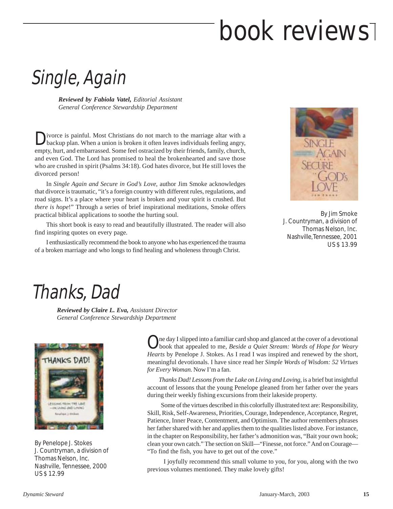# book reviews

# Single, Again

*Reviewed by Fabiola Vatel, Editorial Assistant General Conference Stewardship Department*

Divorce is painful. Most Christians do not march to the marriage altar with a backup plan. When a union is broken it often leaves individuals feeling angry, empty, hurt, and embarrassed. Some feel ostracized by their friends, family, church, and even God. The Lord has promised to heal the brokenhearted and save those who are crushed in spirit (Psalms 34:18). God hates divorce, but He still loves the divorced person!

In *Single Again and Secure in God's Love*, author Jim Smoke acknowledges that divorce is traumatic, "it's a foreign country with different rules, regulations, and road signs. It's a place where your heart is broken and your spirit is crushed. But *there is hope*!" Through a series of brief inspirational meditations, Smoke offers practical biblical applications to soothe the hurting soul.

This short book is easy to read and beautifully illustrated. The reader will also find inspiring quotes on every page.

I enthusiastically recommend the book to anyone who has experienced the trauma of a broken marriage and who longs to find healing and wholeness through Christ.



By Jim Smoke J. Countryman, a division of Thomas Nelson, Inc. Nashville,Tennessee, 2001 US \$ 13.99

### Thanks, Dad

*Reviewed by Claire L. Eva, Assistant Director General Conference Stewardship Department*



By Penelope J. Stokes J. Countryman, a division of Thomas Nelson, Inc. Nashville, Tennessee, 2000 US \$ 12.99

One day I slipped into a familiar card shop and glanced at the cover of a devotional book that appealed to me, *Beside a Quiet Stream: Words of Hope for Weary Hearts* by Penelope J. Stokes. As I read I was inspired and renewed by the short, meaningful devotionals. I have since read her *Simple Words of Wisdom: 52 Virtues for Every Woman.* Now I'm a fan.

*Thanks Dad! Lessons from the Lake on Living and Loving,* is a brief but insightful account of lessons that the young Penelope gleaned from her father over the years during their weekly fishing excursions from their lakeside property.

 Some of the virtues described in this colorfully illustrated text are: Responsibility, Skill, Risk, Self-Awareness, Priorities, Courage, Independence, Acceptance, Regret, Patience, Inner Peace, Contentment, and Optimism. The author remembers phrases her father shared with her and applies them to the qualities listed above. For instance, in the chapter on Responsibility, her father's admonition was, "Bait your own hook; clean your own catch." The section on Skill—"Finesse, not force." And on Courage— "To find the fish, you have to get out of the cove."

 I joyfully recommend this small volume to you, for you, along with the two previous volumes mentioned. They make lovely gifts!